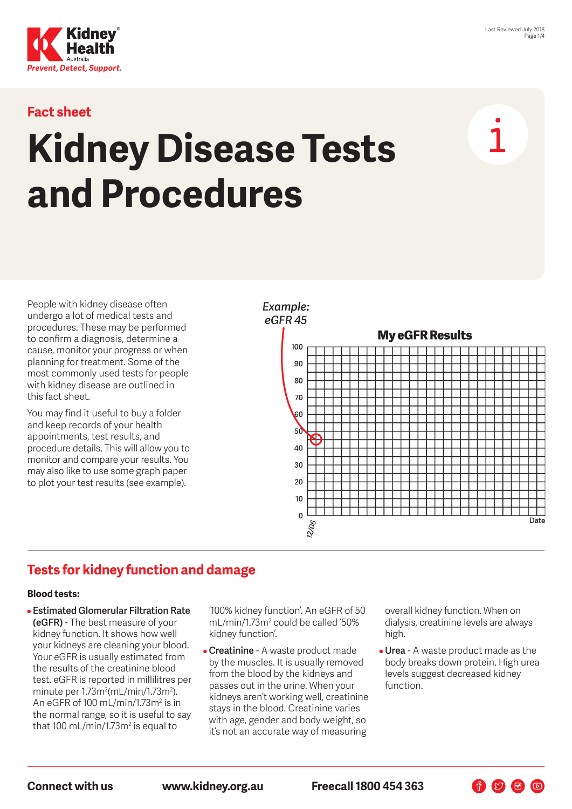

#### **Fact sheet**

# **Kidney Disease Tests and Procedures**

People with kidney disease often undergo a lot of medical tests and procedures. These may be performed to confirm a diagnosis, determine a cause, monitor your progress or when planning for treatment. Some of the most commonly used tests for people with kidney disease are outlined in this fact sheet.

You may find it useful to buy a folder and keep records of your health appointments, test results, and procedure details. This will allow you to monitor and compare your results. You may also like to use some graph paper to plot your test results (see example).



# **Tests for kidney function and damage**

#### **Blood tests:**

• **Estimated Glomerular Filtration Rate (eGFR)** - The best measure of your kidney function. It shows how well your kidneys are cleaning your blood. Your eGFR is usually estimated from the results of the creatinine blood test. eGFR is reported in millilitres per minute per 1.73m<sup>2</sup>(mL/min/1.73m<sup>2</sup>). An eGFR of 100 mL/min/1.73m² is in the normal range, so it is useful to say that 100 mL/min/1.73m² is equal to

'100% kidney function'. An eGFR of 50 mL/min/1.73m<sup>2</sup> could be called '50% kidney function'.

• **Creatinine** - A waste product made by the muscles. It is usually removed from the blood by the kidneys and passes out in the urine. When your kidneys aren't working well, creatinine stays in the blood. Creatinine varies with age, gender and body weight, so it's not an accurate way of measuring

overall kidney function. When on dialysis, creatinine levels are always high.

• **Urea** - A waste product made as the body breaks down protein. High urea levels suggest decreased kidney function.

**Connect with us www.kidney.org.au Freecall 1800 454 363**

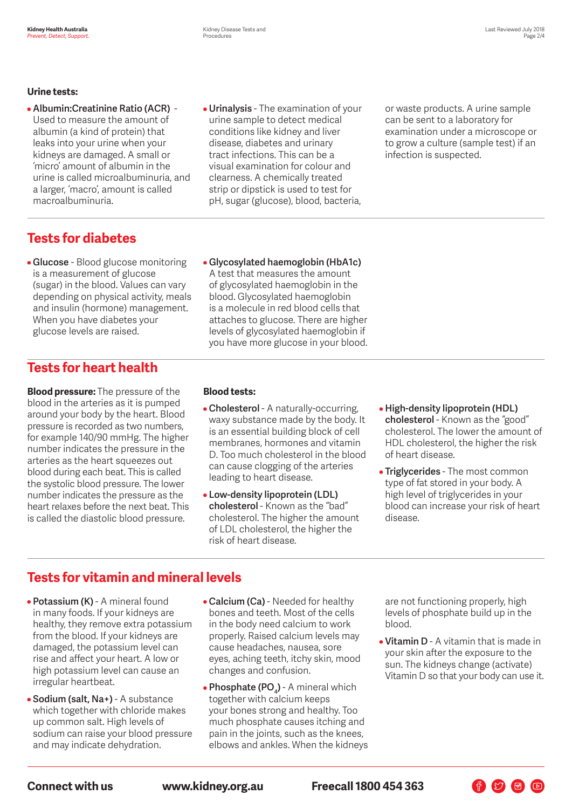#### **Urine tests:**

- **Albumin:Creatinine Ratio (ACR)**  Used to measure the amount of albumin (a kind of protein) that leaks into your urine when your kidneys are damaged. A small or 'micro' amount of albumin in the urine is called microalbuminuria, and a larger, 'macro', amount is called macroalbuminuria.
- **Urinalysis**  The examination of your urine sample to detect medical conditions like kidney and liver disease, diabetes and urinary tract infections. This can be a visual examination for colour and clearness. A chemically treated strip or dipstick is used to test for pH, sugar (glucose), blood, bacteria,

• **Glycosylated haemoglobin (HbA1c)**  A test that measures the amount of glycosylated haemoglobin in the blood. Glycosylated haemoglobin is a molecule in red blood cells that attaches to glucose. There are higher levels of glycosylated haemoglobin if you have more glucose in your blood. or waste products. A urine sample can be sent to a laboratory for examination under a microscope or to grow a culture (sample test) if an infection is suspected.

## **Tests for diabetes**

• **Glucose** - Blood glucose monitoring is a measurement of glucose (sugar) in the blood. Values can vary depending on physical activity, meals and insulin (hormone) management. When you have diabetes your glucose levels are raised.

## **Tests for heart health**

**Blood pressure:** The pressure of the blood in the arteries as it is pumped around your body by the heart. Blood pressure is recorded as two numbers, for example 140/90 mmHg. The higher number indicates the pressure in the arteries as the heart squeezes out blood during each beat. This is called the systolic blood pressure. The lower number indicates the pressure as the heart relaxes before the next beat. This is called the diastolic blood pressure.

#### **Blood tests:**

- **Cholesterol**  A naturally-occurring, waxy substance made by the body. It is an essential building block of cell membranes, hormones and vitamin D. Too much cholesterol in the blood can cause clogging of the arteries leading to heart disease.
- **Low-density lipoprotein (LDL) cholesterol** - Known as the "bad" cholesterol. The higher the amount of LDL cholesterol, the higher the risk of heart disease.
- **High-density lipoprotein (HDL) cholesterol** - Known as the "good" cholesterol. The lower the amount of HDL cholesterol, the higher the risk of heart disease.
- **Triglycerides**  The most common type of fat stored in your body. A high level of triglycerides in your blood can increase your risk of heart disease.

## **Tests for vitamin and mineral levels**

- **Potassium (K)**  A mineral found in many foods. If your kidneys are healthy, they remove extra potassium from the blood. If your kidneys are damaged, the potassium level can rise and affect your heart. A low or high potassium level can cause an irregular heartbeat.
- **Sodium (salt, Na+)**  A substance which together with chloride makes up common salt. High levels of sodium can raise your blood pressure and may indicate dehydration.
- **Calcium (Ca)**  Needed for healthy bones and teeth. Most of the cells in the body need calcium to work properly. Raised calcium levels may cause headaches, nausea, sore eyes, aching teeth, itchy skin, mood changes and confusion.
- **Phosphate (PO<sub>4</sub>)** A mineral which together with calcium keeps your bones strong and healthy. Too much phosphate causes itching and pain in the joints, such as the knees, elbows and ankles. When the kidneys

are not functioning properly, high levels of phosphate build up in the blood.

• **Vitamin D** - A vitamin that is made in your skin after the exposure to the sun. The kidneys change (activate) Vitamin D so that your body can use it.

 $\begin{picture}(60,6) \put(0,0){\line(1,0){10}} \put(15,0){\line(1,0){10}} \put(15,0){\line(1,0){10}} \put(15,0){\line(1,0){10}} \put(15,0){\line(1,0){10}} \put(15,0){\line(1,0){10}} \put(15,0){\line(1,0){10}} \put(15,0){\line(1,0){10}} \put(15,0){\line(1,0){10}} \put(15,0){\line(1,0){10}} \put(15,0){\line(1,0){10}} \put(15,0){\line(1,$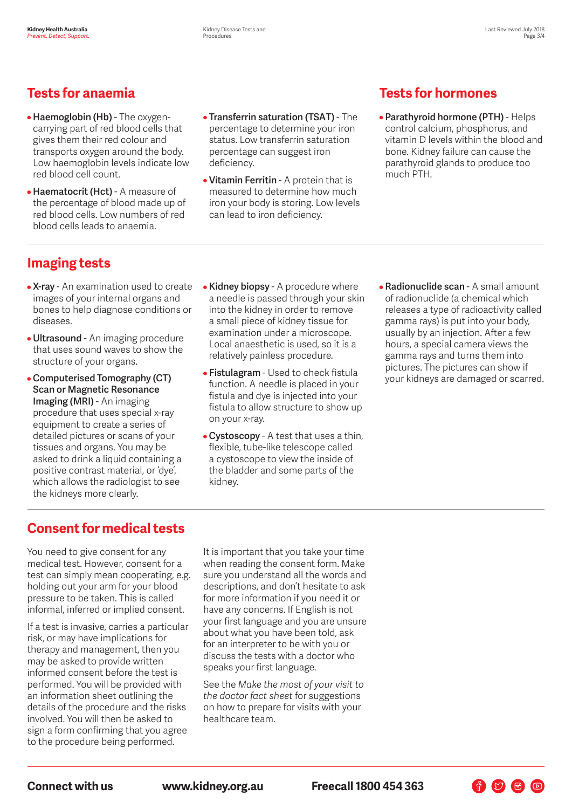## **Tests for anaemia**

- **Haemoglobin (Hb)**  The oxygencarrying part of red blood cells that gives them their red colour and transports oxygen around the body. Low haemoglobin levels indicate low red blood cell count.
- **Haematocrit (Hct)**  A measure of the percentage of blood made up of red blood cells. Low numbers of red blood cells leads to anaemia.
- **Transferrin saturation (TSAT)**  The percentage to determine your iron status. Low transferrin saturation percentage can suggest iron deficiency.
- **Vitamin Ferritin**  A protein that is measured to determine how much iron your body is storing. Low levels can lead to iron deficiency.

# **Tests for hormones**

• **Parathyroid hormone (PTH)** - Helps control calcium, phosphorus, and vitamin D levels within the blood and bone. Kidney failure can cause the parathyroid glands to produce too much PTH.

# **Imaging tests**

- **X-ray**  An examination used to create images of your internal organs and bones to help diagnose conditions or diseases.
- **Ultrasound**  An imaging procedure that uses sound waves to show the structure of your organs.
- **Computerised Tomography (CT) Scan or Magnetic Resonance Imaging (MRI)** - An imaging procedure that uses special x-ray equipment to create a series of detailed pictures or scans of your tissues and organs. You may be asked to drink a liquid containing a positive contrast material, or 'dye', which allows the radiologist to see the kidneys more clearly.
- **Kidney biopsy**  A procedure where a needle is passed through your skin into the kidney in order to remove a small piece of kidney tissue for examination under a microscope. Local anaesthetic is used, so it is a relatively painless procedure.
- **Fistulagram**  Used to check fistula function. A needle is placed in your fistula and dye is injected into your fistula to allow structure to show up on your x-ray.
- **Cystoscopy**  A test that uses a thin, flexible, tube-like telescope called a cystoscope to view the inside of the bladder and some parts of the kidney.
- **Radionuclide scan**  A small amount of radionuclide (a chemical which releases a type of radioactivity called gamma rays) is put into your body, usually by an injection. After a few hours, a special camera views the gamma rays and turns them into pictures. The pictures can show if your kidneys are damaged or scarred.

 $\begin{picture}(160,17)(-10,17)(-10,17)(-10,17)(-10,17)(-10,17)(-10,17)(-10,17)(-10,17)(-10,17)(-10,17)(-10,17)(-10,17)(-10,17)(-10,17)(-10,17)(-10,17)(-10,17)(-10,17)(-10,17)(-10,17)(-10,17)(-10,17)(-10,17)(-10,17)(-10,17)(-10,17)(-10,17)(-10,17)(-10,17)(-10,1$ 

# **Consent for medical tests**

You need to give consent for any medical test. However, consent for a test can simply mean cooperating, e.g. holding out your arm for your blood pressure to be taken. This is called informal, inferred or implied consent.

If a test is invasive, carries a particular risk, or may have implications for therapy and management, then you may be asked to provide written informed consent before the test is performed. You will be provided with an information sheet outlining the details of the procedure and the risks involved. You will then be asked to sign a form confirming that you agree to the procedure being performed.

It is important that you take your time when reading the consent form. Make sure you understand all the words and descriptions, and don't hesitate to ask for more information if you need it or have any concerns. If English is not your first language and you are unsure about what you have been told, ask for an interpreter to be with you or discuss the tests with a doctor who speaks your first language.

See the *Make the most of your visit to the doctor fact sheet* for suggestions on how to prepare for visits with your healthcare team.